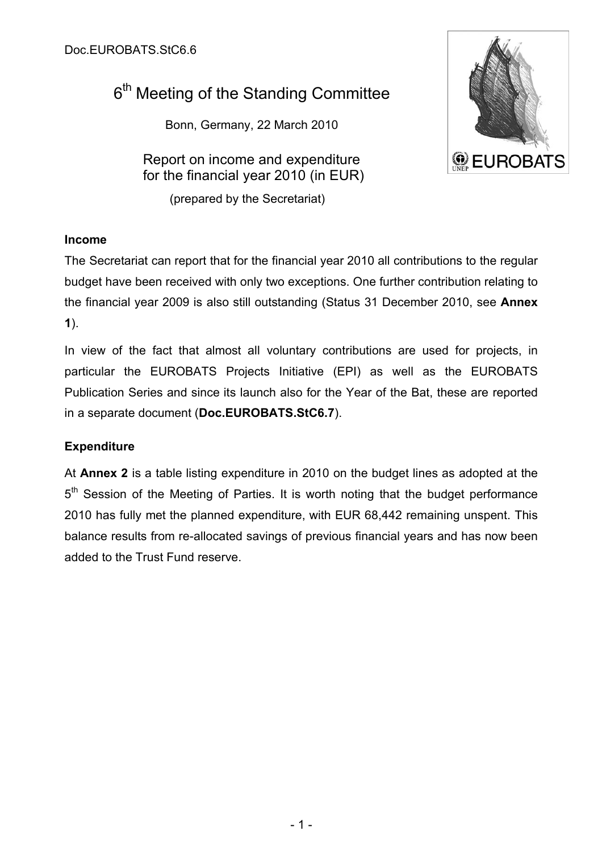# 6<sup>th</sup> Meeting of the Standing Committee

Bonn, Germany, 22 March 2010

Report on income and expenditure for the financial year 2010 (in EUR)

(prepared by the Secretariat)



#### **Income**

The Secretariat can report that for the financial year 2010 all contributions to the regular budget have been received with only two exceptions. One further contribution relating to the financial year 2009 is also still outstanding (Status 31 December 2010, see **Annex 1**).

In view of the fact that almost all voluntary contributions are used for projects, in particular the EUROBATS Projects Initiative (EPI) as well as the EUROBATS Publication Series and since its launch also for the Year of the Bat, these are reported in a separate document (**Doc.EUROBATS.StC6.7**).

#### **Expenditure**

At **Annex 2** is a table listing expenditure in 2010 on the budget lines as adopted at the 5<sup>th</sup> Session of the Meeting of Parties. It is worth noting that the budget performance 2010 has fully met the planned expenditure, with EUR 68,442 remaining unspent. This balance results from re-allocated savings of previous financial years and has now been added to the Trust Fund reserve.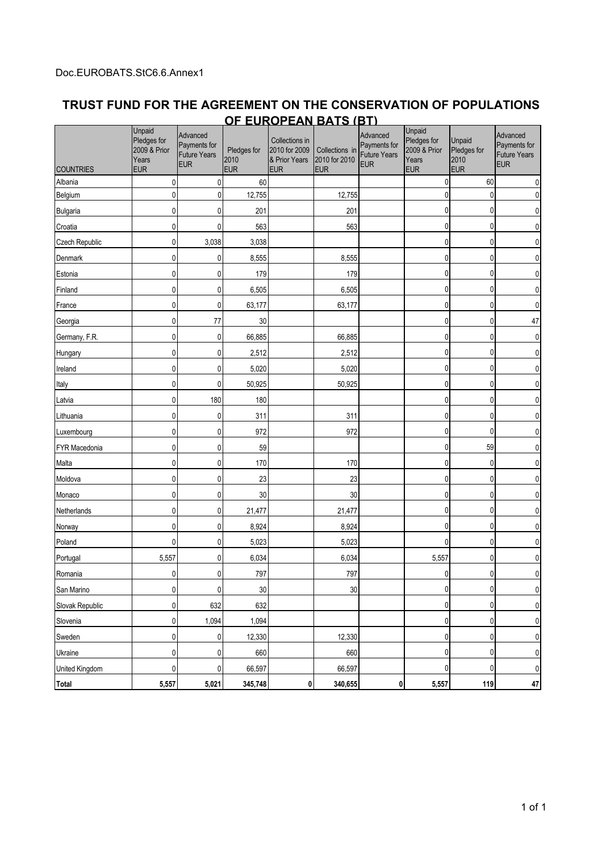#### **TRUST FUND FOR THE AGREEMENT ON THE CONSERVATION OF POPULATIONS OF EUROPEAN BATS (BT)**

| <b>COUNTRIES</b> | Unpaid<br>Pledges for<br>2009 & Prior<br>Years<br><b>EUR</b> | Advanced<br>Payments for<br><b>Future Years</b><br><b>EUR</b> | Pledges for<br>2010<br><b>EUR</b> | Collections in<br>2010 for 2009<br>& Prior Years<br><b>EUR</b> | Collections in<br>2010 for 2010<br><b>EUR</b> | Advanced<br>Payments for<br><b>Future Years</b><br><b>EUR</b> | Unpaid<br>Pledges for<br>2009 & Prior<br>Years<br><b>EUR</b> | Unpaid<br>Pledges for<br>2010<br><b>EUR</b> | Advanced<br>Payments for<br><b>Future Years</b><br><b>EUR</b> |
|------------------|--------------------------------------------------------------|---------------------------------------------------------------|-----------------------------------|----------------------------------------------------------------|-----------------------------------------------|---------------------------------------------------------------|--------------------------------------------------------------|---------------------------------------------|---------------------------------------------------------------|
| Albania          | 0                                                            | $\mathbf 0$                                                   | 60                                |                                                                |                                               |                                                               | 0                                                            | 60                                          | 0                                                             |
| Belgium          | $\mathbf 0$                                                  | $\mathbf 0$                                                   | 12,755                            |                                                                | 12,755                                        |                                                               | $\mathbf{0}$                                                 | 0                                           | 0                                                             |
| <b>Bulgaria</b>  | 0                                                            | 0                                                             | 201                               |                                                                | 201                                           |                                                               | 0                                                            | 0                                           | 0                                                             |
| Croatia          | 0                                                            | 0                                                             | 563                               |                                                                | 563                                           |                                                               | 0                                                            | 0                                           |                                                               |
| Czech Republic   | 0                                                            | 3,038                                                         | 3,038                             |                                                                |                                               |                                                               | $\mathbf{0}$                                                 | 0                                           | 0                                                             |
| Denmark          | $\mathbf 0$                                                  | 0                                                             | 8,555                             |                                                                | 8,555                                         |                                                               | 0                                                            | 0                                           | 0                                                             |
| Estonia          | 0                                                            | 0                                                             | 179                               |                                                                | 179                                           |                                                               | $\mathbf{0}$                                                 | 0                                           | 0                                                             |
| Finland          | 0                                                            | 0                                                             | 6,505                             |                                                                | 6,505                                         |                                                               | 0                                                            | 0                                           | 0                                                             |
| France           | 0                                                            | 0                                                             | 63,177                            |                                                                | 63,177                                        |                                                               | $\mathbf{0}$                                                 | 0                                           | 0                                                             |
| Georgia          | 0                                                            | 77                                                            | 30                                |                                                                |                                               |                                                               | $\mathbf{0}$                                                 | 0                                           | 47                                                            |
| Germany, F.R.    | $\pmb{0}$                                                    | 0                                                             | 66,885                            |                                                                | 66,885                                        |                                                               | $\mathbf{0}$                                                 | 0                                           | 0                                                             |
| Hungary          | $\mathbf{0}$                                                 | 0                                                             | 2,512                             |                                                                | 2,512                                         |                                                               | $\mathbf{0}$                                                 | 0                                           | 0                                                             |
| Ireland          | 0                                                            | 0                                                             | 5,020                             |                                                                | 5,020                                         |                                                               | 0                                                            | 0                                           | 0                                                             |
| Italy            | 0                                                            | 0                                                             | 50,925                            |                                                                | 50,925                                        |                                                               | 0                                                            | 0                                           |                                                               |
| Latvia           | 0                                                            | 180                                                           | 180                               |                                                                |                                               |                                                               | $\mathbf{0}$                                                 | 0                                           | 0                                                             |
| Lithuania        | $\mathbf 0$                                                  | 0                                                             | 311                               |                                                                | 311                                           |                                                               | $\pmb{0}$                                                    | 0                                           | 0                                                             |
| Luxembourg       | 0                                                            | 0                                                             | 972                               |                                                                | 972                                           |                                                               | $\mathbf{0}$                                                 | 0                                           | 0                                                             |
| FYR Macedonia    | 0                                                            | 0                                                             | 59                                |                                                                |                                               |                                                               | 0                                                            | 59                                          | 0                                                             |
| Malta            | $\mathbf 0$                                                  | 0                                                             | 170                               |                                                                | 170                                           |                                                               | $\mathbf{0}$                                                 | 0                                           | 0                                                             |
| Moldova          | 0                                                            | $\overline{0}$                                                | 23                                |                                                                | 23                                            |                                                               | $\mathbf{0}$                                                 | 0                                           | 0                                                             |
| Monaco           | $\pmb{0}$                                                    | 0                                                             | 30                                |                                                                | $30\,$                                        |                                                               | $\pmb{0}$                                                    | 0                                           | 0                                                             |
| Netherlands      | 0                                                            | 0                                                             | 21,477                            |                                                                | 21,477                                        |                                                               | $\mathbf{0}$                                                 | 0                                           | 0                                                             |
| Norway           | 0                                                            | 0                                                             | 8,924                             |                                                                | 8,924                                         |                                                               | 0                                                            | 0                                           | 0                                                             |
| Poland           | $\mathbf{0}$                                                 | 0                                                             | 5,023                             |                                                                | 5,023                                         |                                                               | $\mathbf{0}$                                                 | 0                                           | 0                                                             |
| Portugal         | 5,557                                                        | $\mathbf 0$                                                   | 6,034                             |                                                                | 6,034                                         |                                                               | 5,557                                                        | 0                                           | 0                                                             |
| Romania          | 0                                                            | $\overline{0}$                                                | 797                               |                                                                | 797                                           |                                                               | 0                                                            | 0                                           | 0                                                             |
| San Marino       | 0                                                            | $\mathbf 0$                                                   | 30                                |                                                                | 30                                            |                                                               | $\pmb{0}$                                                    | 0                                           | 0                                                             |
| Slovak Republic  | 0                                                            | 632                                                           | 632                               |                                                                |                                               |                                                               | 0                                                            | 0                                           | 0                                                             |
| Slovenia         | 0                                                            | 1,094                                                         | 1,094                             |                                                                |                                               |                                                               | $\pmb{0}$                                                    | 0                                           | 0                                                             |
| Sweden           | 0                                                            | $\overline{0}$                                                | 12,330                            |                                                                | 12,330                                        |                                                               | $\pmb{0}$                                                    | 0                                           | 0                                                             |
| Ukraine          | $\pmb{0}$                                                    | $\overline{0}$                                                | 660                               |                                                                | 660                                           |                                                               | $\pmb{0}$                                                    | 0                                           | $\pmb{0}$                                                     |
| United Kingdom   | 0                                                            | 0                                                             | 66,597                            |                                                                | 66,597                                        |                                                               | $\mathbf{0}$                                                 | 0                                           | 0                                                             |
| <b>Total</b>     | 5,557                                                        | 5,021                                                         | 345,748                           | 0                                                              | 340,655                                       | 0                                                             | 5,557                                                        | 119                                         | 47                                                            |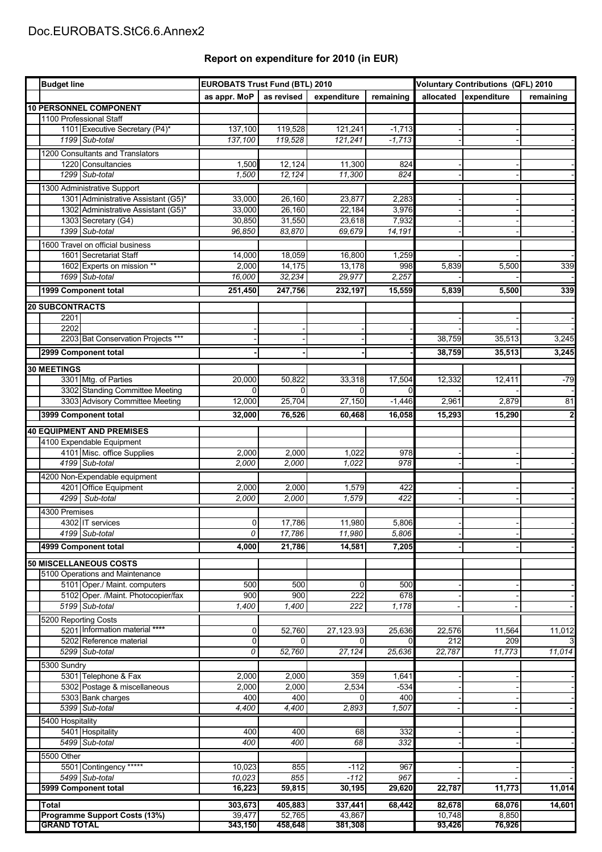## Doc.EUROBATS.StC6.6.Annex2

### **Report on expenditure for 2010 (in EUR)**

| <b>Budget line</b>            |                                                                    | <b>EUROBATS Trust Fund (BTL) 2010</b> |                    |                   | <b>Voluntary Contributions (QFL) 2010</b> |                  |                       |           |
|-------------------------------|--------------------------------------------------------------------|---------------------------------------|--------------------|-------------------|-------------------------------------------|------------------|-----------------------|-----------|
|                               |                                                                    | as appr. MoP                          | as revised         | expenditure       | remaining                                 |                  | allocated expenditure | remaining |
|                               | <b>10 PERSONNEL COMPONENT</b>                                      |                                       |                    |                   |                                           |                  |                       |           |
|                               | 1100 Professional Staff                                            |                                       |                    |                   |                                           |                  |                       |           |
|                               | 1101 Executive Secretary (P4)*                                     | 137,100                               | 119,528            | 121,241           | $-1,713$                                  |                  |                       |           |
|                               | 1199 Sub-total                                                     | 137,100                               | 119,528            | 121,241           | $-1,713$                                  |                  |                       |           |
|                               | 1200 Consultants and Translators                                   |                                       |                    |                   |                                           |                  |                       |           |
|                               | 1220 Consultancies                                                 | 1,500<br>1,500                        | 12,124<br>12,124   | 11,300<br>11,300  | 824<br>824                                |                  |                       |           |
|                               | 1299 Sub-total                                                     |                                       |                    |                   |                                           |                  |                       |           |
|                               | 1300 Administrative Support<br>1301 Administrative Assistant (G5)* | 33,000                                | 26,160             | 23,877            | 2.283                                     |                  |                       |           |
|                               | 1302 Administrative Assistant (G5)*                                | 33,000                                | 26,160             | 22,184            | 3,976                                     |                  |                       |           |
|                               | 1303 Secretary (G4)                                                | 30,850                                | 31,550             | 23,618            | 7,932                                     |                  |                       |           |
|                               | 1399 Sub-total                                                     | 96,850                                | 83,870             | 69,679            | 14,191                                    |                  |                       |           |
|                               | 1600 Travel on official business                                   |                                       |                    |                   |                                           |                  |                       |           |
|                               | 1601 Secretariat Staff                                             | 14,000                                | 18,059             | 16,800            | 1,259                                     |                  |                       |           |
|                               | 1602 Experts on mission **                                         | 2,000                                 | 14,175             | 13,178            | 998                                       | 5,839            | 5,500                 | 339       |
|                               | 1699 Sub-total                                                     | 16,000                                | 32,234             | 29,977            | 2,257                                     |                  |                       |           |
|                               | 1999 Component total                                               | 251,450                               | 247,756            | 232,197           | 15,559                                    | 5,839            | 5,500                 | 339       |
|                               | <b>20 SUBCONTRACTS</b>                                             |                                       |                    |                   |                                           |                  |                       |           |
|                               | 2201                                                               |                                       |                    |                   |                                           |                  |                       |           |
|                               | 2202                                                               |                                       |                    |                   |                                           |                  |                       |           |
|                               | 2203 Bat Conservation Projects ***                                 |                                       |                    |                   |                                           | 38,759           | 35,513                | 3,245     |
|                               | 2999 Component total                                               |                                       |                    |                   |                                           | 38,759           | 35,513                | 3,245     |
|                               | <b>30 MEETINGS</b>                                                 |                                       |                    |                   |                                           |                  |                       |           |
|                               | 3301 Mtg. of Parties                                               | 20,000                                | 50,822             | 33,318            | 17,504                                    | 12,332           | 12,411                | $-79$     |
|                               | 3302 Standing Committee Meeting                                    | $\overline{0}$                        | $\Omega$           | 0                 | $\Omega$                                  |                  |                       |           |
|                               | 3303 Advisory Committee Meeting                                    | 12,000                                | 25,704             | 27,150            | $-1,446$                                  | 2,961            | 2,879                 | 81        |
|                               | 3999 Component total                                               | 32,000                                | 76,526             | 60,468            | 16,058                                    | 15,293           | 15,290                | 2         |
|                               | <b>40 EQUIPMENT AND PREMISES</b>                                   |                                       |                    |                   |                                           |                  |                       |           |
|                               | 4100 Expendable Equipment                                          |                                       |                    |                   |                                           |                  |                       |           |
|                               | 4101 Misc. office Supplies                                         | 2,000                                 | 2,000              | 1,022             | 978                                       |                  |                       |           |
|                               | 4199 Sub-total                                                     | 2,000                                 | 2,000              | 1,022             | 978                                       |                  |                       |           |
|                               | 4200 Non-Expendable equipment                                      |                                       |                    |                   |                                           |                  |                       |           |
|                               | 4201 Office Equipment                                              | 2,000                                 | 2,000              | 1,579             | 422                                       |                  |                       |           |
|                               | 4299<br>Sub-total                                                  | 2,000                                 | 2,000              | 1,579             | 422                                       |                  |                       |           |
|                               | 4300 Premises                                                      |                                       |                    |                   |                                           |                  |                       |           |
|                               | 4302 IT services                                                   | $\mathbf 0$                           | 17,786             | 11,980            | 5,806                                     |                  |                       |           |
|                               | 4199 Sub-total                                                     | 0                                     | 17,786             | 11,980            | 5,806                                     |                  |                       |           |
|                               | 4999 Component total                                               | 4,000                                 | 21,786             | 14,581            | 7,205                                     |                  |                       |           |
| <b>50 MISCELLANEOUS COSTS</b> |                                                                    |                                       |                    |                   |                                           |                  |                       |           |
|                               | 5100 Operations and Maintenance                                    |                                       |                    |                   |                                           |                  |                       |           |
|                               | 5101 Oper./ Maint. computers                                       | 500                                   | 500                | $\mathbf 0$       | 500                                       |                  |                       |           |
|                               | 5102 Oper. /Maint. Photocopier/fax                                 | 900                                   | 900                | 222               | 678                                       |                  |                       |           |
|                               | 5199 Sub-total                                                     | 1,400                                 | 1,400              | 222               | 1,178                                     |                  |                       |           |
|                               | 5200 Reporting Costs                                               |                                       |                    |                   |                                           |                  |                       |           |
|                               | 5201 Information material ****<br>5202 Reference material          | $\overline{0}$<br>0                   | 52,760<br>$\Omega$ | 27,123.93<br>0    | 25,636<br>$\Omega$                        | 22,576<br>212    | 11,564<br>209         | 11,012    |
|                               | 5299 Sub-total                                                     | 0                                     | 52,760             | 27,124            | 25,636                                    | 22,787           | 11,773                | 11,014    |
|                               | 5300 Sundry                                                        |                                       |                    |                   |                                           |                  |                       |           |
|                               | 5301 Telephone & Fax                                               | 2,000                                 | 2,000              | 359               | 1,641                                     |                  |                       |           |
|                               | 5302 Postage & miscellaneous                                       | 2,000                                 | 2,000              | 2,534             | $-534$                                    |                  |                       |           |
|                               | 5303 Bank charges                                                  | 400                                   | 400                | 0                 | 400                                       |                  |                       |           |
|                               | 5399 Sub-total                                                     | 4,400                                 | 4,400              | 2,893             | 1,507                                     |                  |                       |           |
|                               | 5400 Hospitality                                                   |                                       |                    |                   |                                           |                  |                       |           |
|                               | 5401 Hospitality                                                   | 400                                   | 400                | 68                | 332                                       |                  |                       |           |
|                               | 5499 Sub-total                                                     | 400                                   | 400                | 68                | 332                                       |                  |                       |           |
|                               | 5500 Other                                                         |                                       |                    |                   |                                           |                  |                       |           |
|                               | 5501 Contingency *****                                             | 10,023                                | 855                | $-112$            | 967                                       |                  |                       |           |
|                               | 5499 Sub-total<br>5999 Component total                             | 10,023<br>16,223                      | 855<br>59,815      | $-112$<br>30,195  | 967<br>29,620                             | 22,787           | 11,773                | 11,014    |
|                               |                                                                    |                                       |                    |                   |                                           |                  |                       |           |
|                               | Total                                                              | 303,673                               | 405,883            | 337,441           | 68,442                                    | 82,678           | 68,076                | 14,601    |
|                               | <b>Programme Support Costs (13%)</b><br><b>GRAND TOTAL</b>         | 39,477<br>343,150                     | 52,765<br>458,648  | 43,867<br>381,308 |                                           | 10,748<br>93,426 | 8,850<br>76,926       |           |
|                               |                                                                    |                                       |                    |                   |                                           |                  |                       |           |